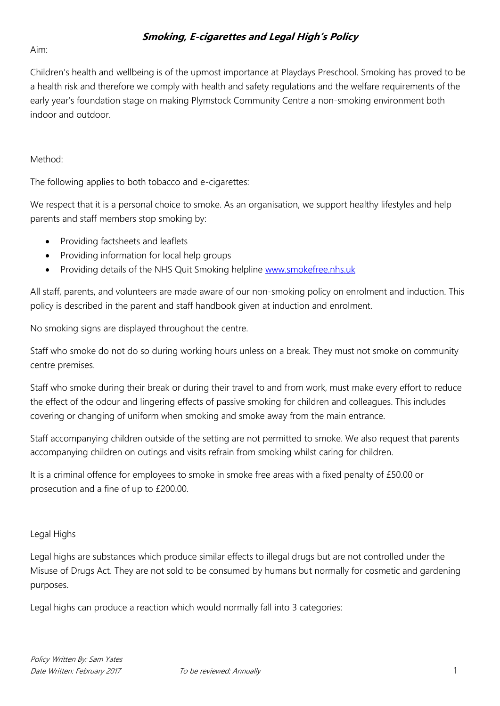# **Smoking, E-cigarettes and Legal High's Policy**

### Aim:

Children's health and wellbeing is of the upmost importance at Playdays Preschool. Smoking has proved to be a health risk and therefore we comply with health and safety regulations and the welfare requirements of the early year's foundation stage on making Plymstock Community Centre a non-smoking environment both indoor and outdoor.

### Method:

The following applies to both tobacco and e-cigarettes:

We respect that it is a personal choice to smoke. As an organisation, we support healthy lifestyles and help parents and staff members stop smoking by:

- Providing factsheets and leaflets
- Providing information for local help groups
- Providing details of the NHS Quit Smoking helpline [www.smokefree.nhs.uk](http://www.smokefree.nhs.uk/)

All staff, parents, and volunteers are made aware of our non-smoking policy on enrolment and induction. This policy is described in the parent and staff handbook given at induction and enrolment.

No smoking signs are displayed throughout the centre.

Staff who smoke do not do so during working hours unless on a break. They must not smoke on community centre premises.

Staff who smoke during their break or during their travel to and from work, must make every effort to reduce the effect of the odour and lingering effects of passive smoking for children and colleagues. This includes covering or changing of uniform when smoking and smoke away from the main entrance.

Staff accompanying children outside of the setting are not permitted to smoke. We also request that parents accompanying children on outings and visits refrain from smoking whilst caring for children.

It is a criminal offence for employees to smoke in smoke free areas with a fixed penalty of £50.00 or prosecution and a fine of up to £200.00.

### Legal Highs

Legal highs are substances which produce similar effects to illegal drugs but are not controlled under the Misuse of Drugs Act. They are not sold to be consumed by humans but normally for cosmetic and gardening purposes.

Legal highs can produce a reaction which would normally fall into 3 categories: